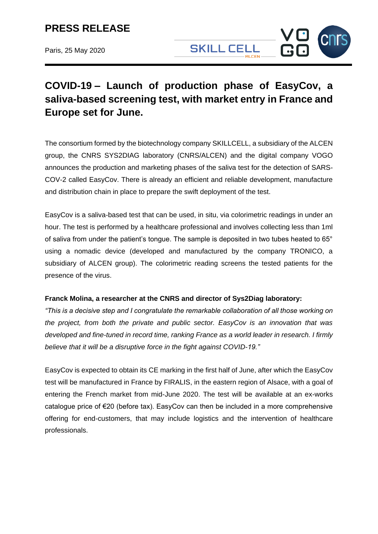Paris, 25 May 2020

# **SKILL CELL**

# **COVID-19 – Launch of production phase of EasyCov, a saliva-based screening test, with market entry in France and Europe set for June.**

The consortium formed by the biotechnology company SKILLCELL, a subsidiary of the ALCEN group, the CNRS SYS2DIAG laboratory (CNRS/ALCEN) and the digital company VOGO announces the production and marketing phases of the saliva test for the detection of SARS-COV-2 called EasyCov. There is already an efficient and reliable development, manufacture and distribution chain in place to prepare the swift deployment of the test.

EasyCov is a saliva-based test that can be used, in situ, via colorimetric readings in under an hour. The test is performed by a healthcare professional and involves collecting less than 1ml of saliva from under the patient's tongue. The sample is deposited in two tubes heated to 65° using a nomadic device (developed and manufactured by the company TRONICO, a subsidiary of ALCEN group). The colorimetric reading screens the tested patients for the presence of the virus.

#### **Franck Molina, a researcher at the CNRS and director of Sys2Diag laboratory:**

*"This is a decisive step and I congratulate the remarkable collaboration of all those working on the project, from both the private and public sector. EasyCov is an innovation that was developed and fine-tuned in record time, ranking France as a world leader in research. I firmly believe that it will be a disruptive force in the fight against COVID-19."*

EasyCov is expected to obtain its CE marking in the first half of June, after which the EasyCov test will be manufactured in France by FIRALIS, in the eastern region of Alsace, with a goal of entering the French market from mid-June 2020. The test will be available at an ex-works catalogue price of €20 (before tax). EasyCov can then be included in a more comprehensive offering for end-customers, that may include logistics and the intervention of healthcare professionals.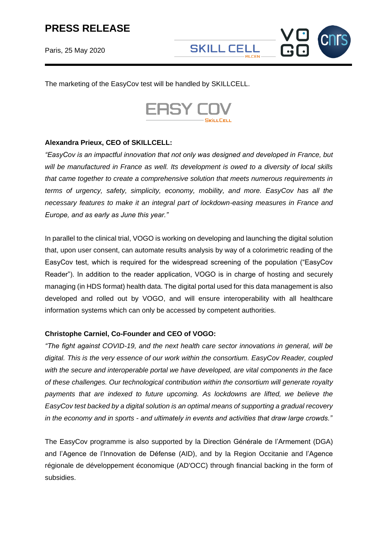Paris, 25 May 2020

The marketing of the EasyCov test will be handled by SKILLCELL.



## **Alexandra Prieux, CEO of SKILLCELL:**

*"EasyCov is an impactful innovation that not only was designed and developed in France, but will be manufactured in France as well. Its development is owed to a diversity of local skills that came together to create a comprehensive solution that meets numerous requirements in terms of urgency, safety, simplicity, economy, mobility, and more. EasyCov has all the necessary features to make it an integral part of lockdown-easing measures in France and Europe, and as early as June this year."*

In parallel to the clinical trial, VOGO is working on developing and launching the digital solution that, upon user consent, can automate results analysis by way of a colorimetric reading of the EasyCov test, which is required for the widespread screening of the population ("EasyCov Reader"). In addition to the reader application, VOGO is in charge of hosting and securely managing (in HDS format) health data. The digital portal used for this data management is also developed and rolled out by VOGO, and will ensure interoperability with all healthcare information systems which can only be accessed by competent authorities.

## **Christophe Carniel, Co-Founder and CEO of VOGO:**

*"The fight against COVID-19, and the next health care sector innovations in general, will be digital. This is the very essence of our work within the consortium. EasyCov Reader, coupled with the secure and interoperable portal we have developed, are vital components in the face of these challenges. Our technological contribution within the consortium will generate royalty payments that are indexed to future upcoming. As lockdowns are lifted, we believe the EasyCov test backed by a digital solution is an optimal means of supporting a gradual recovery in the economy and in sports - and ultimately in events and activities that draw large crowds."*

The EasyCov programme is also supported by la Direction Générale de l'Armement (DGA) and l'Agence de l'Innovation de Défense (AID), and by la Region Occitanie and l'Agence régionale de développement économique (AD'OCC) through financial backing in the form of subsidies.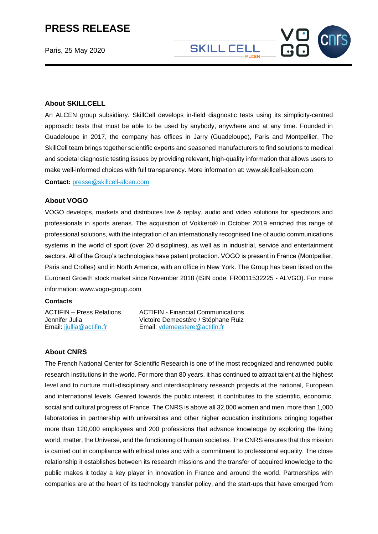Paris, 25 May 2020

#### **About SKILLCELL**

An ALCEN group subsidiary. SkillCell develops in-field diagnostic tests using its simplicity-centred approach: tests that must be able to be used by anybody, anywhere and at any time. Founded in Guadeloupe in 2017, the company has offices in Jarry (Guadeloupe), Paris and Montpellier. The SkillCell team brings together scientific experts and seasoned manufacturers to find solutions to medical and societal diagnostic testing issues by providing relevant, high-quality information that allows users to make well-informed choices with full transparency. More information at: [www.skillcell-alcen.com](http://www.skillcell-alcen.com/)

**SKILL CELL** 

**Contact:** [presse@skillcell-alcen.com](mailto:presse@skillcell-alcen.com)

#### **About VOGO**

VOGO develops, markets and distributes live & replay, audio and video solutions for spectators and professionals in sports arenas. The acquisition of Vokkero® in October 2019 enriched this range of professional solutions, with the integration of an internationally recognised line of audio communications systems in the world of sport (over 20 disciplines), as well as in industrial, service and entertainment sectors. All of the Group's technologies have patent protection. VOGO is present in France (Montpellier, Paris and Crolles) and in North America, with an office in New York. The Group has been listed on the Euronext Growth stock market since November 2018 (ISIN code: FR0011532225 - ALVGO). For more information: [www.vogo-group.com](http://www.vogo-group.com/)

#### **Contacts**:

ACTIFIN – Press Relations Jennifer Julia Email: [jjullia@actifin.fr](mailto:jjullia@actifin.fr)

ACTIFIN - Financial Communications Victoire Demeestère / Stéphane Ruiz Email: [vdemeestere@actifin.fr](mailto:vdemeestere@actifin.fr)

#### **About CNRS**

The French National Center for Scientific Research is one of the most recognized and renowned public research institutions in the world. For more than 80 years, it has continued to attract talent at the highest level and to nurture multi-disciplinary and interdisciplinary research projects at the national, European and international levels. Geared towards the public interest, it contributes to the scientific, economic, social and cultural progress of France. The CNRS is above all 32,000 women and men, more than 1,000 laboratories in partnership with universities and other higher education institutions bringing together more than 120,000 employees and 200 professions that advance knowledge by exploring the living world, matter, the Universe, and the functioning of human societies. The CNRS ensures that this mission is carried out in compliance with ethical rules and with a commitment to professional equality. The close relationship it establishes between its research missions and the transfer of acquired knowledge to the public makes it today a key player in innovation in France and around the world. Partnerships with companies are at the heart of its technology transfer policy, and the start-ups that have emerged from